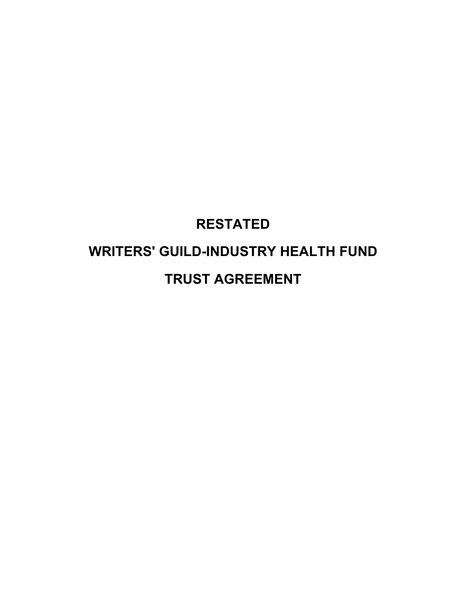# **RESTATED WRITERS' GUILD-INDUSTRY HEALTH FUND TRUST AGREEMENT**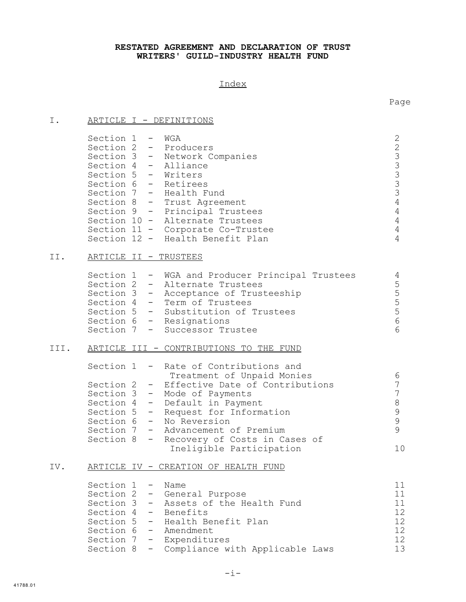### **RESTATED AGREEMENT AND DECLARATION OF TRUST WRITERS' GUILD-INDUSTRY HEALTH FUND**

## Index

Page

| Ι.   | ARTICLE I - DEFINITIONS                                                                                                                                                                                                                                                                                                                                                                             |                                                                                                                           |
|------|-----------------------------------------------------------------------------------------------------------------------------------------------------------------------------------------------------------------------------------------------------------------------------------------------------------------------------------------------------------------------------------------------------|---------------------------------------------------------------------------------------------------------------------------|
|      | Section 1 - WGA<br>Section 2 - Producers<br>Section 3 - Network Companies<br>Section 4 - Alliance<br>Section 5 - Writers<br>Section 6 - Retirees<br>Section 7 - Health Fund<br>Section 8 - Trust Agreement<br>Section 9 - Principal Trustees<br>Section 10 - Alternate Trustees<br>Section 11 - Corporate Co-Trustee<br>Section 12 - Health Benefit Plan                                            | $\mathbf{2}$<br>$2333$<br>$333$<br>$\overline{4}$<br>$\overline{4}$<br>$\overline{4}$<br>$\overline{4}$<br>$\overline{4}$ |
| II.  | <u>ARTICLE II - TRUSTEES</u>                                                                                                                                                                                                                                                                                                                                                                        |                                                                                                                           |
|      | Section 1 - WGA and Producer Principal Trustees<br>Section 2 - Alternate Trustees<br>Section 3 - Acceptance of Trusteeship<br>Section 4 - Term of Trustees<br>Section 5 - Substitution of Trustees<br>Section 6 - Resignations<br>Section 7<br>Successor Trustee<br>$\frac{1}{2}$ and $\frac{1}{2}$                                                                                                 | $\overline{4}$<br>5555<br>6<br>6                                                                                          |
| III. | ARTICLE III - CONTRIBUTIONS TO THE FUND                                                                                                                                                                                                                                                                                                                                                             |                                                                                                                           |
|      | Section 1<br>- Rate of Contributions and<br>Treatment of Unpaid Monies<br>Section $2 -$<br>Effective Date of Contributions<br>Section 3 -<br>Mode of Payments<br>Section 4 -<br>Default in Payment<br>Section 5 -<br>Request for Information<br>Section 6 -<br>No Reversion<br>Section 7 -<br>Advancement of Premium<br>Section 8<br>Recovery of Costs in Cases of<br>-<br>Ineligible Participation | 6<br>$\overline{7}$<br>$\overline{7}$<br>$\,8\,$<br>$\mathsf 9$<br>$\mathcal{G}$<br>9<br>10                               |
| IV.  | ARTICLE IV - CREATION OF HEALTH FUND                                                                                                                                                                                                                                                                                                                                                                |                                                                                                                           |
|      | Section 1<br>Name<br>$\qquad \qquad =$<br>Section 2<br>General Purpose<br>$\overline{\phantom{m}}$<br>Assets of the Health Fund<br>Section 3<br>−.<br>Section 4<br>Benefits<br>$\equiv$<br>Section 5<br>Health Benefit Plan<br>−.<br>Section 6<br>Amendment<br>$\qquad \qquad -$<br>Section 7<br>Expenditures<br>$\sim$ 100 $\sim$<br>Compliance with Applicable Laws<br>Section 8<br>−.            | 11<br>11<br>11<br>12<br>12<br>12<br>12<br>13                                                                              |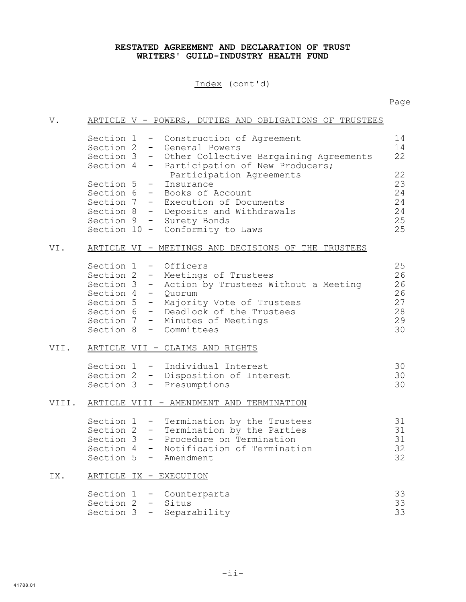### **RESTATED AGREEMENT AND DECLARATION OF TRUST WRITERS' GUILD-INDUSTRY HEALTH FUND**

Index (cont'd)

| V.    |                                                                                     | ARTICLE V - POWERS, DUTIES AND OBLIGATIONS OF TRUSTEES                                                                                                                                                                                                                                                              |                                              |
|-------|-------------------------------------------------------------------------------------|---------------------------------------------------------------------------------------------------------------------------------------------------------------------------------------------------------------------------------------------------------------------------------------------------------------------|----------------------------------------------|
|       | Section 4 -<br>Section 5 -                                                          | Section 1 - Construction of Agreement<br>Section 2 - General Powers<br>Section 3 - Other Collective Bargaining Agreements<br>Participation of New Producers;<br>Participation Agreements<br>Insurance<br>Section 6 - Books of Account<br>Section 7 - Execution of Documents<br>Section 8 - Deposits and Withdrawals | 14<br>14<br>22<br>22<br>23<br>24<br>24<br>24 |
|       |                                                                                     | Section 9 - Surety Bonds<br>Section 10 - Conformity to Laws                                                                                                                                                                                                                                                         | 25<br>25                                     |
| VI.   |                                                                                     | ARTICLE VI - MEETINGS AND DECISIONS OF THE TRUSTEES                                                                                                                                                                                                                                                                 |                                              |
|       | Section 1 - Officers<br>Section 4 - Quorum<br>Section 5 -<br>Section 8 - Committees | Section 2 - Meetings of Trustees<br>Section 3 - Action by Trustees Without a Meeting<br>Majority Vote of Trustees<br>Section 6 - Deadlock of the Trustees<br>Section 7 - Minutes of Meetings                                                                                                                        | 25<br>26<br>26<br>26<br>27<br>28<br>29<br>30 |
| VII.  |                                                                                     | ARTICLE VII - CLAIMS AND RIGHTS                                                                                                                                                                                                                                                                                     |                                              |
|       |                                                                                     | Section 1 - Individual Interest<br>Section 2 - Disposition of Interest<br>Section 3 - Presumptions                                                                                                                                                                                                                  | 30<br>30<br>30                               |
| VIII. |                                                                                     | ARTICLE VIII - AMENDMENT AND TERMINATION                                                                                                                                                                                                                                                                            |                                              |
|       | Section 5 - Amendment                                                               | Section 1 - Termination by the Trustees<br>Section 2 - Termination by the Parties<br>Section 3 - Procedure on Termination<br>Section 4 - Notification of Termination                                                                                                                                                | 31<br>31<br>31<br>32<br>32                   |
| IX.   | <u>ARTICLE IX - EXECUTION</u>                                                       |                                                                                                                                                                                                                                                                                                                     |                                              |
|       | Section 1<br>Section 2<br>Section 3                                                 | Counterparts<br>Situs<br>Separability                                                                                                                                                                                                                                                                               | 33<br>33<br>33                               |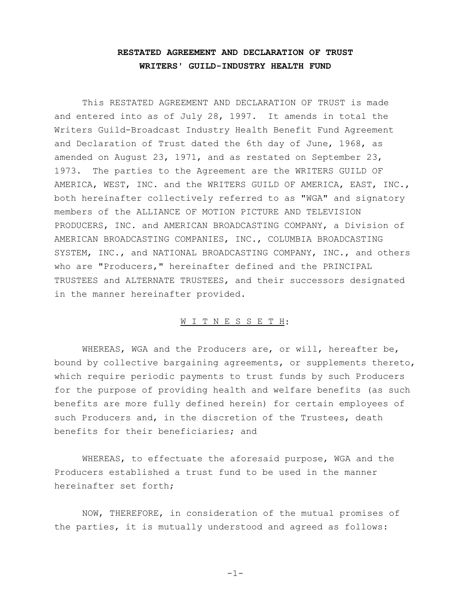## **RESTATED AGREEMENT AND DECLARATION OF TRUST WRITERS' GUILD-INDUSTRY HEALTH FUND**

This RESTATED AGREEMENT AND DECLARATION OF TRUST is made and entered into as of July 28, 1997. It amends in total the Writers Guild-Broadcast Industry Health Benefit Fund Agreement and Declaration of Trust dated the 6th day of June, 1968, as amended on August 23, 1971, and as restated on September 23, 1973. The parties to the Agreement are the WRITERS GUILD OF AMERICA, WEST, INC. and the WRITERS GUILD OF AMERICA, EAST, INC., both hereinafter collectively referred to as "WGA" and signatory members of the ALLIANCE OF MOTION PICTURE AND TELEVISION PRODUCERS, INC. and AMERICAN BROADCASTING COMPANY, a Division of AMERICAN BROADCASTING COMPANIES, INC., COLUMBIA BROADCASTING SYSTEM, INC., and NATIONAL BROADCASTING COMPANY, INC., and others who are "Producers," hereinafter defined and the PRINCIPAL TRUSTEES and ALTERNATE TRUSTEES, and their successors designated in the manner hereinafter provided.

#### W I T N E S S E T H:

WHEREAS, WGA and the Producers are, or will, hereafter be, bound by collective bargaining agreements, or supplements thereto, which require periodic payments to trust funds by such Producers for the purpose of providing health and welfare benefits (as such benefits are more fully defined herein) for certain employees of such Producers and, in the discretion of the Trustees, death benefits for their beneficiaries; and

WHEREAS, to effectuate the aforesaid purpose, WGA and the Producers established a trust fund to be used in the manner hereinafter set forth;

NOW, THEREFORE, in consideration of the mutual promises of the parties, it is mutually understood and agreed as follows:

-1-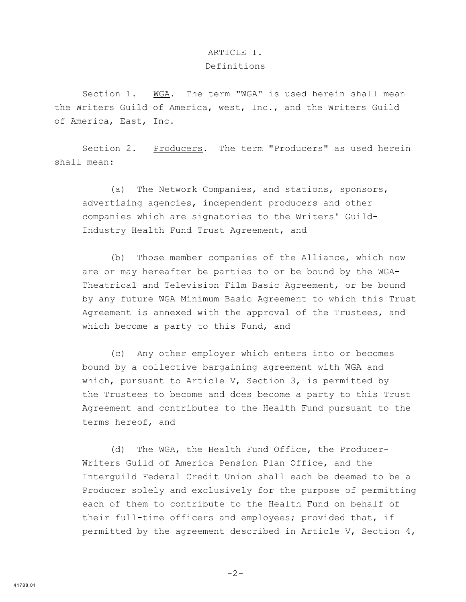## ARTICLE I. Definitions

Section 1. WGA. The term "WGA" is used herein shall mean the Writers Guild of America, west, Inc., and the Writers Guild of America, East, Inc.

Section 2. Producers. The term "Producers" as used herein shall mean:

(a) The Network Companies, and stations, sponsors, advertising agencies, independent producers and other companies which are signatories to the Writers' Guild-Industry Health Fund Trust Agreement, and

(b) Those member companies of the Alliance, which now are or may hereafter be parties to or be bound by the WGA-Theatrical and Television Film Basic Agreement, or be bound by any future WGA Minimum Basic Agreement to which this Trust Agreement is annexed with the approval of the Trustees, and which become a party to this Fund, and

(c) Any other employer which enters into or becomes bound by a collective bargaining agreement with WGA and which, pursuant to Article V, Section 3, is permitted by the Trustees to become and does become a party to this Trust Agreement and contributes to the Health Fund pursuant to the terms hereof, and

(d) The WGA, the Health Fund Office, the Producer-Writers Guild of America Pension Plan Office, and the Interguild Federal Credit Union shall each be deemed to be a Producer solely and exclusively for the purpose of permitting each of them to contribute to the Health Fund on behalf of their full-time officers and employees; provided that, if permitted by the agreement described in Article V, Section 4,

-2-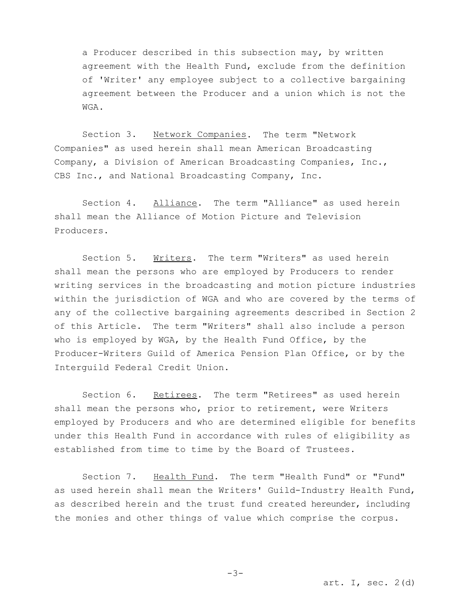a Producer described in this subsection may, by written agreement with the Health Fund, exclude from the definition of 'Writer' any employee subject to a collective bargaining agreement between the Producer and a union which is not the WGA.

Section 3. Network Companies. The term "Network Companies" as used herein shall mean American Broadcasting Company, a Division of American Broadcasting Companies, Inc., CBS Inc., and National Broadcasting Company, Inc.

Section 4. Alliance. The term "Alliance" as used herein shall mean the Alliance of Motion Picture and Television Producers.

Section 5. Writers. The term "Writers" as used herein shall mean the persons who are employed by Producers to render writing services in the broadcasting and motion picture industries within the jurisdiction of WGA and who are covered by the terms of any of the collective bargaining agreements described in Section 2 of this Article. The term "Writers" shall also include a person who is employed by WGA, by the Health Fund Office, by the Producer-Writers Guild of America Pension Plan Office, or by the Interguild Federal Credit Union.

Section 6. Retirees. The term "Retirees" as used herein shall mean the persons who, prior to retirement, were Writers employed by Producers and who are determined eligible for benefits under this Health Fund in accordance with rules of eligibility as established from time to time by the Board of Trustees.

Section 7. Health Fund. The term "Health Fund" or "Fund" as used herein shall mean the Writers' Guild-Industry Health Fund, as described herein and the trust fund created hereunder, including the monies and other things of value which comprise the corpus.

art. I, sec.  $2(d)$ 

-3-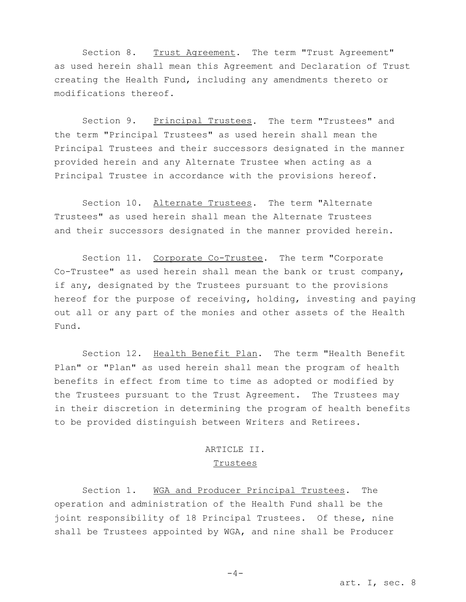Section 8. Trust Agreement. The term "Trust Agreement" as used herein shall mean this Agreement and Declaration of Trust creating the Health Fund, including any amendments thereto or modifications thereof.

Section 9. Principal Trustees. The term "Trustees" and the term "Principal Trustees" as used herein shall mean the Principal Trustees and their successors designated in the manner provided herein and any Alternate Trustee when acting as a Principal Trustee in accordance with the provisions hereof.

Section 10. Alternate Trustees. The term "Alternate Trustees" as used herein shall mean the Alternate Trustees and their successors designated in the manner provided herein.

Section 11. Corporate Co-Trustee. The term "Corporate Co-Trustee" as used herein shall mean the bank or trust company, if any, designated by the Trustees pursuant to the provisions hereof for the purpose of receiving, holding, investing and paying out all or any part of the monies and other assets of the Health Fund.

Section 12. Health Benefit Plan. The term "Health Benefit Plan" or "Plan" as used herein shall mean the program of health benefits in effect from time to time as adopted or modified by the Trustees pursuant to the Trust Agreement. The Trustees may in their discretion in determining the program of health benefits to be provided distinguish between Writers and Retirees.

# ARTICLE II. **Trustees**

Section 1. WGA and Producer Principal Trustees. The operation and administration of the Health Fund shall be the joint responsibility of 18 Principal Trustees. Of these, nine shall be Trustees appointed by WGA, and nine shall be Producer

 $-4-$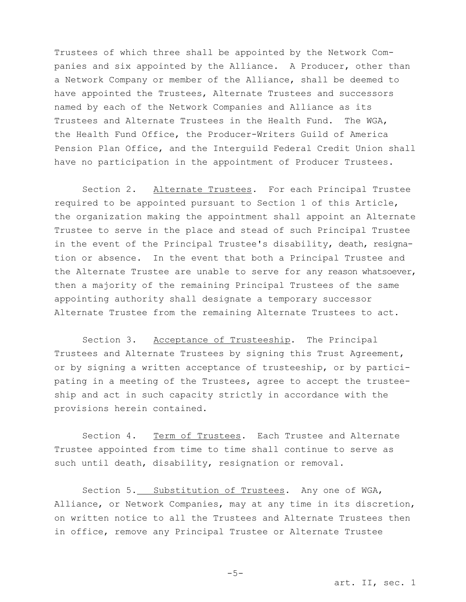Trustees of which three shall be appointed by the Network Companies and six appointed by the Alliance. A Producer, other than a Network Company or member of the Alliance, shall be deemed to have appointed the Trustees, Alternate Trustees and successors named by each of the Network Companies and Alliance as its Trustees and Alternate Trustees in the Health Fund. The WGA, the Health Fund Office, the Producer-Writers Guild of America Pension Plan Office, and the Interguild Federal Credit Union shall have no participation in the appointment of Producer Trustees.

Section 2. Alternate Trustees. For each Principal Trustee required to be appointed pursuant to Section 1 of this Article, the organization making the appointment shall appoint an Alternate Trustee to serve in the place and stead of such Principal Trustee in the event of the Principal Trustee's disability, death, resignation or absence. In the event that both a Principal Trustee and the Alternate Trustee are unable to serve for any reason whatsoever, then a majority of the remaining Principal Trustees of the same appointing authority shall designate a temporary successor Alternate Trustee from the remaining Alternate Trustees to act.

Section 3. Acceptance of Trusteeship. The Principal Trustees and Alternate Trustees by signing this Trust Agreement, or by signing a written acceptance of trusteeship, or by participating in a meeting of the Trustees, agree to accept the trusteeship and act in such capacity strictly in accordance with the provisions herein contained.

Section 4. Term of Trustees. Each Trustee and Alternate Trustee appointed from time to time shall continue to serve as such until death, disability, resignation or removal.

Section 5. Substitution of Trustees. Any one of WGA, Alliance, or Network Companies, may at any time in its discretion, on written notice to all the Trustees and Alternate Trustees then in office, remove any Principal Trustee or Alternate Trustee

-5-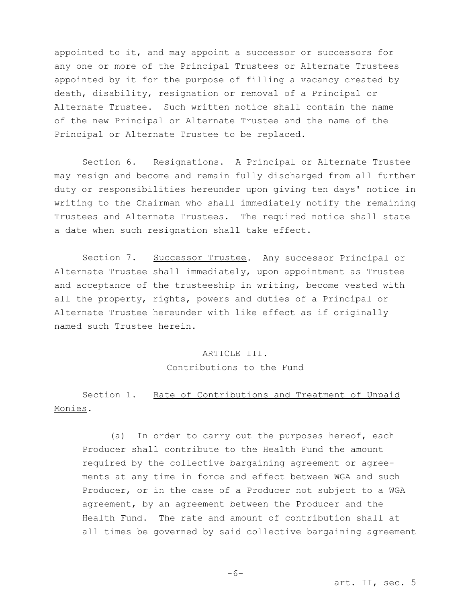appointed to it, and may appoint a successor or successors for any one or more of the Principal Trustees or Alternate Trustees appointed by it for the purpose of filling a vacancy created by death, disability, resignation or removal of a Principal or Alternate Trustee. Such written notice shall contain the name of the new Principal or Alternate Trustee and the name of the Principal or Alternate Trustee to be replaced.

Section 6. Resignations. A Principal or Alternate Trustee may resign and become and remain fully discharged from all further duty or responsibilities hereunder upon giving ten days' notice in writing to the Chairman who shall immediately notify the remaining Trustees and Alternate Trustees. The required notice shall state a date when such resignation shall take effect.

Section 7. Successor Trustee. Any successor Principal or Alternate Trustee shall immediately, upon appointment as Trustee and acceptance of the trusteeship in writing, become vested with all the property, rights, powers and duties of a Principal or Alternate Trustee hereunder with like effect as if originally named such Trustee herein.

# ARTICLE III. Contributions to the Fund

Section 1. Rate of Contributions and Treatment of Unpaid Monies.

(a) In order to carry out the purposes hereof, each Producer shall contribute to the Health Fund the amount required by the collective bargaining agreement or agreements at any time in force and effect between WGA and such Producer, or in the case of a Producer not subject to a WGA agreement, by an agreement between the Producer and the Health Fund. The rate and amount of contribution shall at all times be governed by said collective bargaining agreement

 $-6-$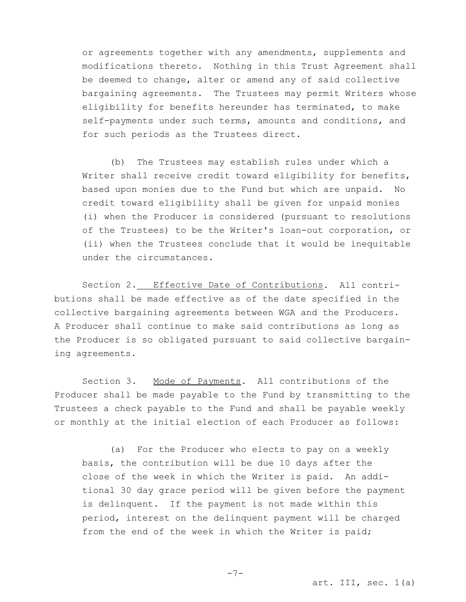or agreements together with any amendments, supplements and modifications thereto. Nothing in this Trust Agreement shall be deemed to change, alter or amend any of said collective bargaining agreements. The Trustees may permit Writers whose eligibility for benefits hereunder has terminated, to make self-payments under such terms, amounts and conditions, and for such periods as the Trustees direct.

(b) The Trustees may establish rules under which a Writer shall receive credit toward eligibility for benefits, based upon monies due to the Fund but which are unpaid. No credit toward eligibility shall be given for unpaid monies (i) when the Producer is considered (pursuant to resolutions of the Trustees) to be the Writer's loan-out corporation, or (ii) when the Trustees conclude that it would be inequitable under the circumstances.

Section 2. Effective Date of Contributions. All contributions shall be made effective as of the date specified in the collective bargaining agreements between WGA and the Producers. A Producer shall continue to make said contributions as long as the Producer is so obligated pursuant to said collective bargaining agreements.

Section 3. Mode of Payments. All contributions of the Producer shall be made payable to the Fund by transmitting to the Trustees a check payable to the Fund and shall be payable weekly or monthly at the initial election of each Producer as follows:

(a) For the Producer who elects to pay on a weekly basis, the contribution will be due 10 days after the close of the week in which the Writer is paid. An additional 30 day grace period will be given before the payment is delinquent. If the payment is not made within this period, interest on the delinquent payment will be charged from the end of the week in which the Writer is paid;

 $-7-$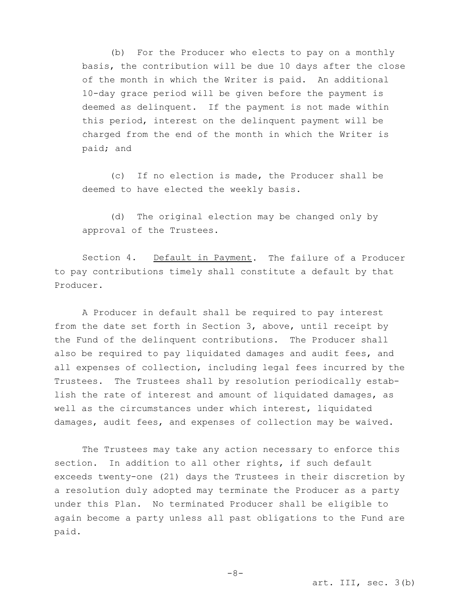(b) For the Producer who elects to pay on a monthly basis, the contribution will be due 10 days after the close of the month in which the Writer is paid. An additional 10-day grace period will be given before the payment is deemed as delinquent. If the payment is not made within this period, interest on the delinquent payment will be charged from the end of the month in which the Writer is paid; and

(c) If no election is made, the Producer shall be deemed to have elected the weekly basis.

(d) The original election may be changed only by approval of the Trustees.

Section 4. Default in Payment. The failure of a Producer to pay contributions timely shall constitute a default by that Producer.

A Producer in default shall be required to pay interest from the date set forth in Section 3, above, until receipt by the Fund of the delinquent contributions. The Producer shall also be required to pay liquidated damages and audit fees, and all expenses of collection, including legal fees incurred by the Trustees. The Trustees shall by resolution periodically establish the rate of interest and amount of liquidated damages, as well as the circumstances under which interest, liquidated damages, audit fees, and expenses of collection may be waived.

The Trustees may take any action necessary to enforce this section. In addition to all other rights, if such default exceeds twenty-one (21) days the Trustees in their discretion by a resolution duly adopted may terminate the Producer as a party under this Plan. No terminated Producer shall be eligible to again become a party unless all past obligations to the Fund are paid.

 $-8-$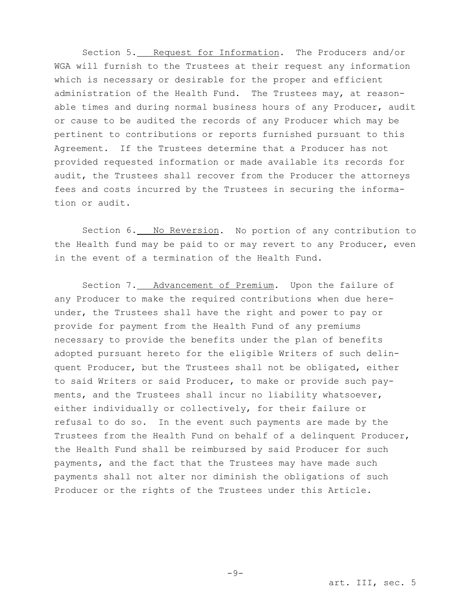Section 5. Request for Information. The Producers and/or WGA will furnish to the Trustees at their request any information which is necessary or desirable for the proper and efficient administration of the Health Fund. The Trustees may, at reasonable times and during normal business hours of any Producer, audit or cause to be audited the records of any Producer which may be pertinent to contributions or reports furnished pursuant to this Agreement. If the Trustees determine that a Producer has not provided requested information or made available its records for audit, the Trustees shall recover from the Producer the attorneys fees and costs incurred by the Trustees in securing the information or audit.

Section 6. No Reversion. No portion of any contribution to the Health fund may be paid to or may revert to any Producer, even in the event of a termination of the Health Fund.

Section 7. Advancement of Premium. Upon the failure of any Producer to make the required contributions when due hereunder, the Trustees shall have the right and power to pay or provide for payment from the Health Fund of any premiums necessary to provide the benefits under the plan of benefits adopted pursuant hereto for the eligible Writers of such delinquent Producer, but the Trustees shall not be obligated, either to said Writers or said Producer, to make or provide such payments, and the Trustees shall incur no liability whatsoever, either individually or collectively, for their failure or refusal to do so. In the event such payments are made by the Trustees from the Health Fund on behalf of a delinquent Producer, the Health Fund shall be reimbursed by said Producer for such payments, and the fact that the Trustees may have made such payments shall not alter nor diminish the obligations of such Producer or the rights of the Trustees under this Article.

 $-9-$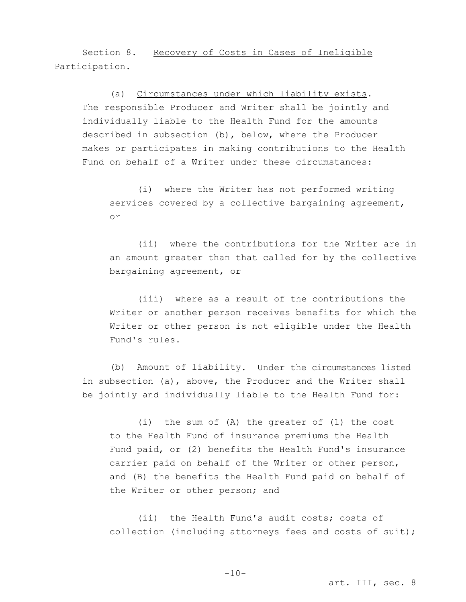Section 8. Recovery of Costs in Cases of Ineligible Participation.

(a) Circumstances under which liability exists. The responsible Producer and Writer shall be jointly and individually liable to the Health Fund for the amounts described in subsection (b), below, where the Producer makes or participates in making contributions to the Health Fund on behalf of a Writer under these circumstances:

(i) where the Writer has not performed writing services covered by a collective bargaining agreement, or

(ii) where the contributions for the Writer are in an amount greater than that called for by the collective bargaining agreement, or

(iii) where as a result of the contributions the Writer or another person receives benefits for which the Writer or other person is not eligible under the Health Fund's rules.

(b) Amount of liability. Under the circumstances listed in subsection (a), above, the Producer and the Writer shall be jointly and individually liable to the Health Fund for:

(i) the sum of (A) the greater of (1) the cost to the Health Fund of insurance premiums the Health Fund paid, or (2) benefits the Health Fund's insurance carrier paid on behalf of the Writer or other person, and (B) the benefits the Health Fund paid on behalf of the Writer or other person; and

(ii) the Health Fund's audit costs; costs of collection (including attorneys fees and costs of suit);

 $-10-$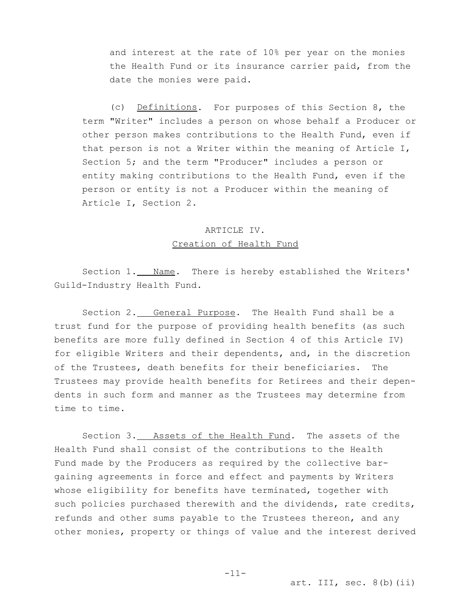and interest at the rate of 10% per year on the monies the Health Fund or its insurance carrier paid, from the date the monies were paid.

(c) Definitions. For purposes of this Section 8, the term "Writer" includes a person on whose behalf a Producer or other person makes contributions to the Health Fund, even if that person is not a Writer within the meaning of Article I, Section 5; and the term "Producer" includes a person or entity making contributions to the Health Fund, even if the person or entity is not a Producer within the meaning of Article I, Section 2.

# ARTICLE IV. Creation of Health Fund

Section 1. Name. There is hereby established the Writers' Guild-Industry Health Fund.

Section 2. General Purpose. The Health Fund shall be a trust fund for the purpose of providing health benefits (as such benefits are more fully defined in Section 4 of this Article IV) for eligible Writers and their dependents, and, in the discretion of the Trustees, death benefits for their beneficiaries. The Trustees may provide health benefits for Retirees and their dependents in such form and manner as the Trustees may determine from time to time.

Section 3. Assets of the Health Fund. The assets of the Health Fund shall consist of the contributions to the Health Fund made by the Producers as required by the collective bargaining agreements in force and effect and payments by Writers whose eligibility for benefits have terminated, together with such policies purchased therewith and the dividends, rate credits, refunds and other sums payable to the Trustees thereon, and any other monies, property or things of value and the interest derived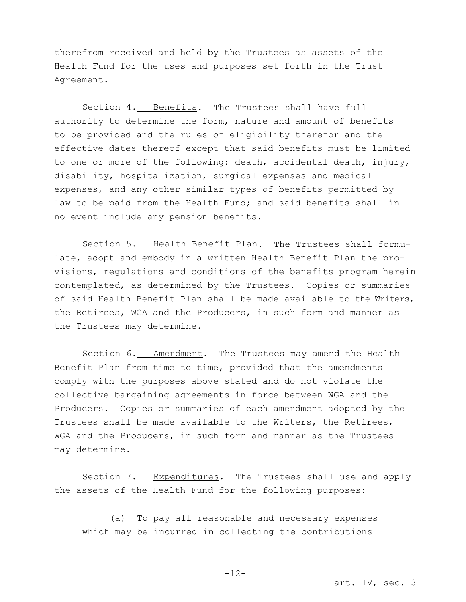therefrom received and held by the Trustees as assets of the Health Fund for the uses and purposes set forth in the Trust Agreement.

Section 4. Benefits. The Trustees shall have full authority to determine the form, nature and amount of benefits to be provided and the rules of eligibility therefor and the effective dates thereof except that said benefits must be limited to one or more of the following: death, accidental death, injury, disability, hospitalization, surgical expenses and medical expenses, and any other similar types of benefits permitted by law to be paid from the Health Fund; and said benefits shall in no event include any pension benefits.

Section 5. Health Benefit Plan. The Trustees shall formulate, adopt and embody in a written Health Benefit Plan the provisions, regulations and conditions of the benefits program herein contemplated, as determined by the Trustees. Copies or summaries of said Health Benefit Plan shall be made available to the Writers, the Retirees, WGA and the Producers, in such form and manner as the Trustees may determine.

Section 6. Amendment. The Trustees may amend the Health Benefit Plan from time to time, provided that the amendments comply with the purposes above stated and do not violate the collective bargaining agreements in force between WGA and the Producers. Copies or summaries of each amendment adopted by the Trustees shall be made available to the Writers, the Retirees, WGA and the Producers, in such form and manner as the Trustees may determine.

Section 7. Expenditures. The Trustees shall use and apply the assets of the Health Fund for the following purposes:

(a) To pay all reasonable and necessary expenses which may be incurred in collecting the contributions

art. IV, sec. 3

-12-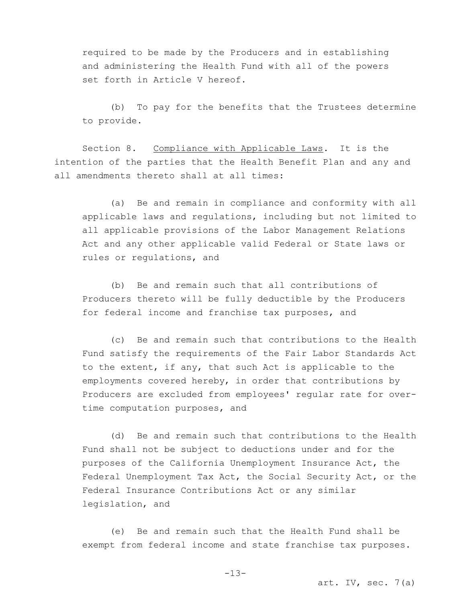required to be made by the Producers and in establishing and administering the Health Fund with all of the powers set forth in Article V hereof.

(b) To pay for the benefits that the Trustees determine to provide.

Section 8. Compliance with Applicable Laws. It is the intention of the parties that the Health Benefit Plan and any and all amendments thereto shall at all times:

(a) Be and remain in compliance and conformity with all applicable laws and regulations, including but not limited to all applicable provisions of the Labor Management Relations Act and any other applicable valid Federal or State laws or rules or regulations, and

(b) Be and remain such that all contributions of Producers thereto will be fully deductible by the Producers for federal income and franchise tax purposes, and

(c) Be and remain such that contributions to the Health Fund satisfy the requirements of the Fair Labor Standards Act to the extent, if any, that such Act is applicable to the employments covered hereby, in order that contributions by Producers are excluded from employees' regular rate for overtime computation purposes, and

(d) Be and remain such that contributions to the Health Fund shall not be subject to deductions under and for the purposes of the California Unemployment Insurance Act, the Federal Unemployment Tax Act, the Social Security Act, or the Federal Insurance Contributions Act or any similar legislation, and

(e) Be and remain such that the Health Fund shall be exempt from federal income and state franchise tax purposes.

art. IV, sec.  $7(a)$ 

-13-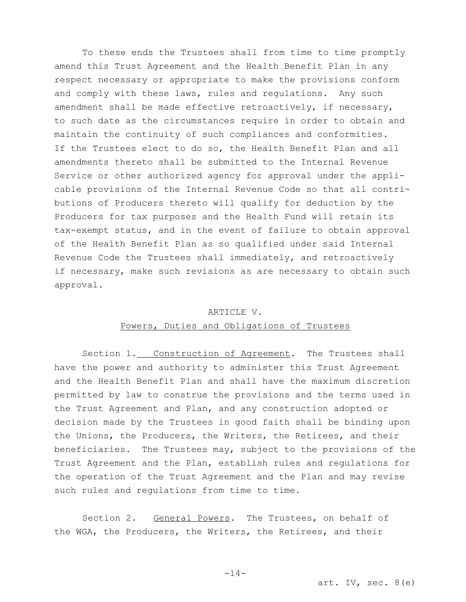To these ends the Trustees shall from time to time promptly amend this Trust Agreement and the Health Benefit Plan in any respect necessary or appropriate to make the provisions conform and comply with these laws, rules and regulations. Any such amendment shall be made effective retroactively, if necessary, to such date as the circumstances require in order to obtain and maintain the continuity of such compliances and conformities. If the Trustees elect to do so, the Health Benefit Plan and all amendments thereto shall be submitted to the Internal Revenue Service or other authorized agency for approval under the applicable provisions of the Internal Revenue Code so that all contributions of Producers thereto will qualify for deduction by the Producers for tax purposes and the Health Fund will retain its tax-exempt status, and in the event of failure to obtain approval of the Health Benefit Plan as so qualified under said Internal Revenue Code the Trustees shall immediately, and retroactively if necessary, make such revisions as are necessary to obtain such approval.

#### ARTICLE V.

#### Powers, Duties and Obligations of Trustees

Section 1. Construction of Agreement. The Trustees shall have the power and authority to administer this Trust Agreement and the Health Benefit Plan and shall have the maximum discretion permitted by law to construe the provisions and the terms used in the Trust Agreement and Plan, and any construction adopted or decision made by the Trustees in good faith shall be binding upon the Unions, the Producers, the Writers, the Retirees, and their beneficiaries. The Trustees may, subject to the provisions of the Trust Agreement and the Plan, establish rules and regulations for the operation of the Trust Agreement and the Plan and may revise such rules and regulations from time to time.

Section 2. General Powers. The Trustees, on behalf of the WGA, the Producers, the Writers, the Retirees, and their

art. IV, sec.  $8(e)$ 

-14-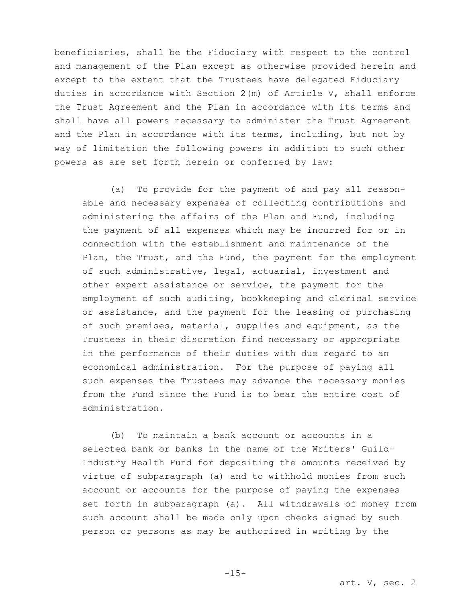beneficiaries, shall be the Fiduciary with respect to the control and management of the Plan except as otherwise provided herein and except to the extent that the Trustees have delegated Fiduciary duties in accordance with Section 2(m) of Article V, shall enforce the Trust Agreement and the Plan in accordance with its terms and shall have all powers necessary to administer the Trust Agreement and the Plan in accordance with its terms, including, but not by way of limitation the following powers in addition to such other powers as are set forth herein or conferred by law:

(a) To provide for the payment of and pay all reasonable and necessary expenses of collecting contributions and administering the affairs of the Plan and Fund, including the payment of all expenses which may be incurred for or in connection with the establishment and maintenance of the Plan, the Trust, and the Fund, the payment for the employment of such administrative, legal, actuarial, investment and other expert assistance or service, the payment for the employment of such auditing, bookkeeping and clerical service or assistance, and the payment for the leasing or purchasing of such premises, material, supplies and equipment, as the Trustees in their discretion find necessary or appropriate in the performance of their duties with due regard to an economical administration. For the purpose of paying all such expenses the Trustees may advance the necessary monies from the Fund since the Fund is to bear the entire cost of administration.

(b) To maintain a bank account or accounts in a selected bank or banks in the name of the Writers' Guild-Industry Health Fund for depositing the amounts received by virtue of subparagraph (a) and to withhold monies from such account or accounts for the purpose of paying the expenses set forth in subparagraph (a). All withdrawals of money from such account shall be made only upon checks signed by such person or persons as may be authorized in writing by the

 $-15-$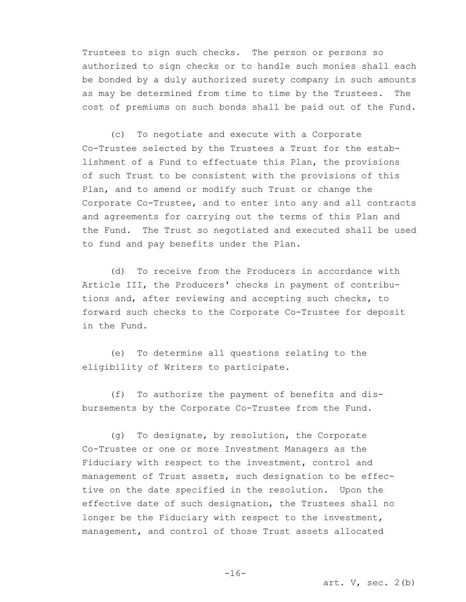Trustees to sign such checks. The person or persons so authorized to sign checks or to handle such monies shall each be bonded by a duly authorized surety company in such amounts as may be determined from time to time by the Trustees. The cost of premiums on such bonds shall be paid out of the Fund.

(c) To negotiate and execute with a Corporate Co-Trustee selected by the Trustees a Trust for the establishment of a Fund to effectuate this Plan, the provisions of such Trust to be consistent with the provisions of this Plan, and to amend or modify such Trust or change the Corporate Co-Trustee, and to enter into any and all contracts and agreements for carrying out the terms of this Plan and the Fund. The Trust so negotiated and executed shall be used to fund and pay benefits under the Plan.

(d) To receive from the Producers in accordance with Article III, the Producers' checks in payment of contributions and, after reviewing and accepting such checks, to forward such checks to the Corporate Co-Trustee for deposit in the Fund.

(e) To determine all questions relating to the eligibility of Writers to participate.

(f) To authorize the payment of benefits and disbursements by the Corporate Co-Trustee from the Fund.

(g) To designate, by resolution, the Corporate Co-Trustee or one or more Investment Managers as the Fiduciary with respect to the investment, control and management of Trust assets, such designation to be effective on the date specified in the resolution. Upon the effective date of such designation, the Trustees shall no longer be the Fiduciary with respect to the investment, management, and control of those Trust assets allocated

 $-16-$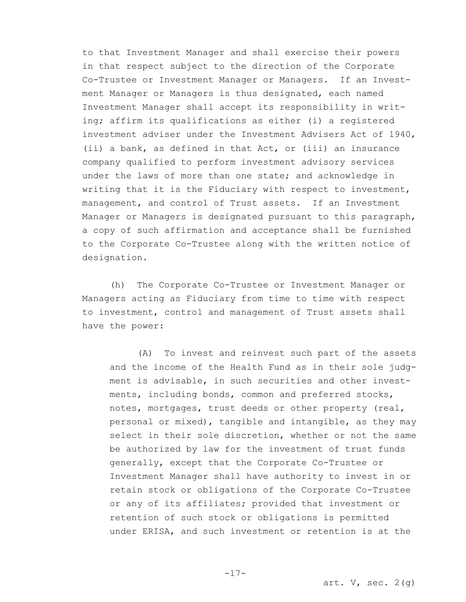to that Investment Manager and shall exercise their powers in that respect subject to the direction of the Corporate Co-Trustee or Investment Manager or Managers. If an Investment Manager or Managers is thus designated, each named Investment Manager shall accept its responsibility in writing; affirm its qualifications as either (i) a registered investment adviser under the Investment Advisers Act of 1940, (ii) a bank, as defined in that Act, or (iii) an insurance company qualified to perform investment advisory services under the laws of more than one state; and acknowledge in writing that it is the Fiduciary with respect to investment, management, and control of Trust assets. If an Investment Manager or Managers is designated pursuant to this paragraph, a copy of such affirmation and acceptance shall be furnished to the Corporate Co-Trustee along with the written notice of designation.

(h) The Corporate Co-Trustee or Investment Manager or Managers acting as Fiduciary from time to time with respect to investment, control and management of Trust assets shall have the power:

(A) To invest and reinvest such part of the assets and the income of the Health Fund as in their sole judgment is advisable, in such securities and other investments, including bonds, common and preferred stocks, notes, mortgages, trust deeds or other property (real, personal or mixed), tangible and intangible, as they may select in their sole discretion, whether or not the same be authorized by law for the investment of trust funds generally, except that the Corporate Co-Trustee or Investment Manager shall have authority to invest in or retain stock or obligations of the Corporate Co-Trustee or any of its affiliates; provided that investment or retention of such stock or obligations is permitted under ERISA, and such investment or retention is at the

-17-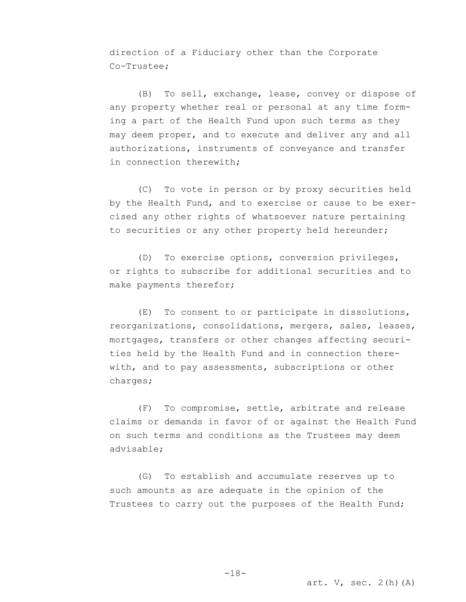direction of a Fiduciary other than the Corporate Co-Trustee;

(B) To sell, exchange, lease, convey or dispose of any property whether real or personal at any time forming a part of the Health Fund upon such terms as they may deem proper, and to execute and deliver any and all authorizations, instruments of conveyance and transfer in connection therewith;

(C) To vote in person or by proxy securities held by the Health Fund, and to exercise or cause to be exercised any other rights of whatsoever nature pertaining to securities or any other property held hereunder;

(D) To exercise options, conversion privileges, or rights to subscribe for additional securities and to make payments therefor;

(E) To consent to or participate in dissolutions, reorganizations, consolidations, mergers, sales, leases, mortgages, transfers or other changes affecting securities held by the Health Fund and in connection therewith, and to pay assessments, subscriptions or other charges;

(F) To compromise, settle, arbitrate and release claims or demands in favor of or against the Health Fund on such terms and conditions as the Trustees may deem advisable;

(G) To establish and accumulate reserves up to such amounts as are adequate in the opinion of the Trustees to carry out the purposes of the Health Fund;

art.  $V$ , sec.  $2(h)$  (A)

-18-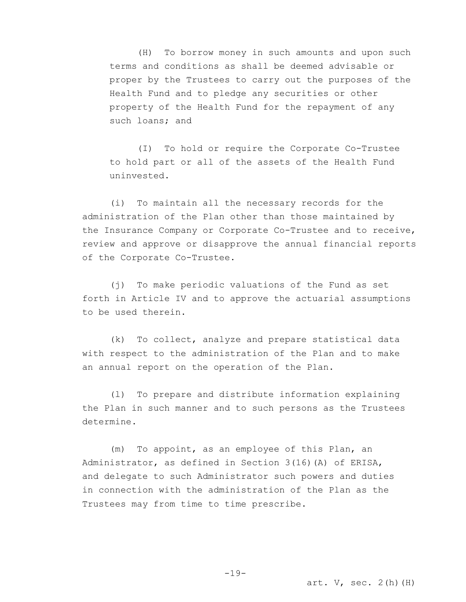(H) To borrow money in such amounts and upon such terms and conditions as shall be deemed advisable or proper by the Trustees to carry out the purposes of the Health Fund and to pledge any securities or other property of the Health Fund for the repayment of any such loans; and

(I) To hold or require the Corporate Co-Trustee to hold part or all of the assets of the Health Fund uninvested.

(i) To maintain all the necessary records for the administration of the Plan other than those maintained by the Insurance Company or Corporate Co-Trustee and to receive, review and approve or disapprove the annual financial reports of the Corporate Co-Trustee.

(j) To make periodic valuations of the Fund as set forth in Article IV and to approve the actuarial assumptions to be used therein.

(k) To collect, analyze and prepare statistical data with respect to the administration of the Plan and to make an annual report on the operation of the Plan.

(l) To prepare and distribute information explaining the Plan in such manner and to such persons as the Trustees determine.

(m) To appoint, as an employee of this Plan, an Administrator, as defined in Section 3(16)(A) of ERISA, and delegate to such Administrator such powers and duties in connection with the administration of the Plan as the Trustees may from time to time prescribe.

 $-19-$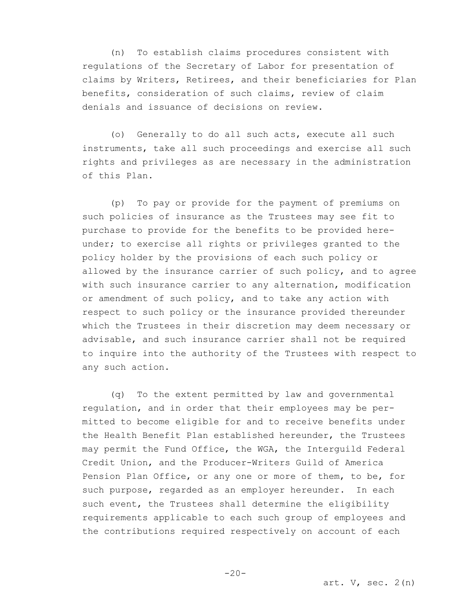(n) To establish claims procedures consistent with regulations of the Secretary of Labor for presentation of claims by Writers, Retirees, and their beneficiaries for Plan benefits, consideration of such claims, review of claim denials and issuance of decisions on review.

(o) Generally to do all such acts, execute all such instruments, take all such proceedings and exercise all such rights and privileges as are necessary in the administration of this Plan.

(p) To pay or provide for the payment of premiums on such policies of insurance as the Trustees may see fit to purchase to provide for the benefits to be provided hereunder; to exercise all rights or privileges granted to the policy holder by the provisions of each such policy or allowed by the insurance carrier of such policy, and to agree with such insurance carrier to any alternation, modification or amendment of such policy, and to take any action with respect to such policy or the insurance provided thereunder which the Trustees in their discretion may deem necessary or advisable, and such insurance carrier shall not be required to inquire into the authority of the Trustees with respect to any such action.

(q) To the extent permitted by law and governmental regulation, and in order that their employees may be permitted to become eligible for and to receive benefits under the Health Benefit Plan established hereunder, the Trustees may permit the Fund Office, the WGA, the Interguild Federal Credit Union, and the Producer-Writers Guild of America Pension Plan Office, or any one or more of them, to be, for such purpose, regarded as an employer hereunder. In each such event, the Trustees shall determine the eligibility requirements applicable to each such group of employees and the contributions required respectively on account of each

 $-20-$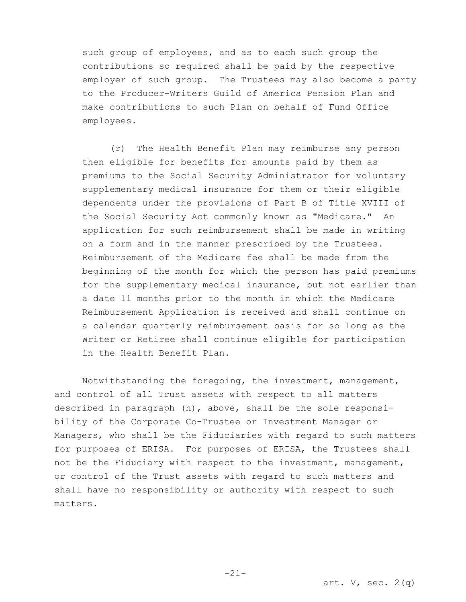such group of employees, and as to each such group the contributions so required shall be paid by the respective employer of such group. The Trustees may also become a party to the Producer-Writers Guild of America Pension Plan and make contributions to such Plan on behalf of Fund Office employees.

(r) The Health Benefit Plan may reimburse any person then eligible for benefits for amounts paid by them as premiums to the Social Security Administrator for voluntary supplementary medical insurance for them or their eligible dependents under the provisions of Part B of Title XVIII of the Social Security Act commonly known as "Medicare." An application for such reimbursement shall be made in writing on a form and in the manner prescribed by the Trustees. Reimbursement of the Medicare fee shall be made from the beginning of the month for which the person has paid premiums for the supplementary medical insurance, but not earlier than a date 11 months prior to the month in which the Medicare Reimbursement Application is received and shall continue on a calendar quarterly reimbursement basis for so long as the Writer or Retiree shall continue eligible for participation in the Health Benefit Plan.

Notwithstanding the foregoing, the investment, management, and control of all Trust assets with respect to all matters described in paragraph (h), above, shall be the sole responsibility of the Corporate Co-Trustee or Investment Manager or Managers, who shall be the Fiduciaries with regard to such matters for purposes of ERISA. For purposes of ERISA, the Trustees shall not be the Fiduciary with respect to the investment, management, or control of the Trust assets with regard to such matters and shall have no responsibility or authority with respect to such matters.

-21-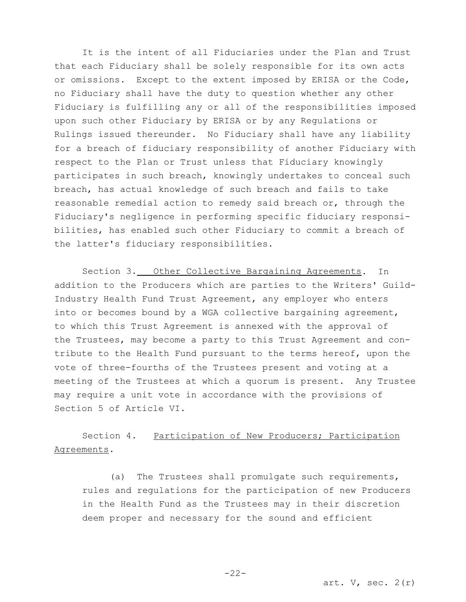It is the intent of all Fiduciaries under the Plan and Trust that each Fiduciary shall be solely responsible for its own acts or omissions. Except to the extent imposed by ERISA or the Code, no Fiduciary shall have the duty to question whether any other Fiduciary is fulfilling any or all of the responsibilities imposed upon such other Fiduciary by ERISA or by any Regulations or Rulings issued thereunder. No Fiduciary shall have any liability for a breach of fiduciary responsibility of another Fiduciary with respect to the Plan or Trust unless that Fiduciary knowingly participates in such breach, knowingly undertakes to conceal such breach, has actual knowledge of such breach and fails to take reasonable remedial action to remedy said breach or, through the Fiduciary's negligence in performing specific fiduciary responsibilities, has enabled such other Fiduciary to commit a breach of the latter's fiduciary responsibilities.

Section 3. Other Collective Bargaining Agreements. In addition to the Producers which are parties to the Writers' Guild-Industry Health Fund Trust Agreement, any employer who enters into or becomes bound by a WGA collective bargaining agreement, to which this Trust Agreement is annexed with the approval of the Trustees, may become a party to this Trust Agreement and contribute to the Health Fund pursuant to the terms hereof, upon the vote of three-fourths of the Trustees present and voting at a meeting of the Trustees at which a quorum is present. Any Trustee may require a unit vote in accordance with the provisions of Section 5 of Article VI.

# Section 4. Participation of New Producers; Participation Agreements.

(a) The Trustees shall promulgate such requirements, rules and regulations for the participation of new Producers in the Health Fund as the Trustees may in their discretion deem proper and necessary for the sound and efficient

art.  $V$ , sec.  $2(r)$ 

-22-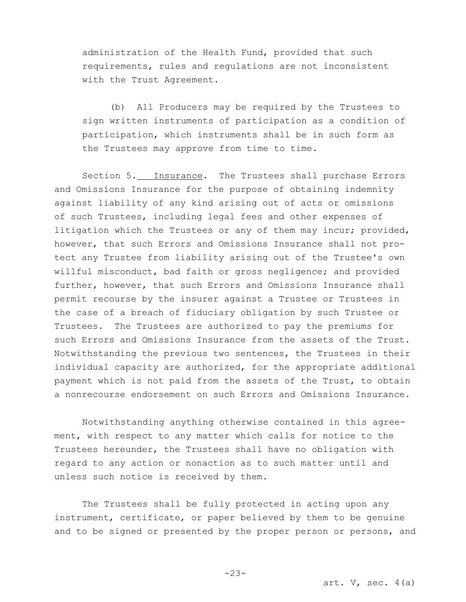administration of the Health Fund, provided that such requirements, rules and regulations are not inconsistent with the Trust Agreement.

(b) All Producers may be required by the Trustees to sign written instruments of participation as a condition of participation, which instruments shall be in such form as the Trustees may approve from time to time.

Section 5. Insurance. The Trustees shall purchase Errors and Omissions Insurance for the purpose of obtaining indemnity against liability of any kind arising out of acts or omissions of such Trustees, including legal fees and other expenses of litigation which the Trustees or any of them may incur; provided, however, that such Errors and Omissions Insurance shall not protect any Trustee from liability arising out of the Trustee's own willful misconduct, bad faith or gross negligence; and provided further, however, that such Errors and Omissions Insurance shall permit recourse by the insurer against a Trustee or Trustees in the case of a breach of fiduciary obligation by such Trustee or Trustees. The Trustees are authorized to pay the premiums for such Errors and Omissions Insurance from the assets of the Trust. Notwithstanding the previous two sentences, the Trustees in their individual capacity are authorized, for the appropriate additional payment which is not paid from the assets of the Trust, to obtain a nonrecourse endorsement on such Errors and Omissions Insurance.

Notwithstanding anything otherwise contained in this agreement, with respect to any matter which calls for notice to the Trustees hereunder, the Trustees shall have no obligation with regard to any action or nonaction as to such matter until and unless such notice is received by them.

The Trustees shall be fully protected in acting upon any instrument, certificate, or paper believed by them to be genuine and to be signed or presented by the proper person or persons, and

-23-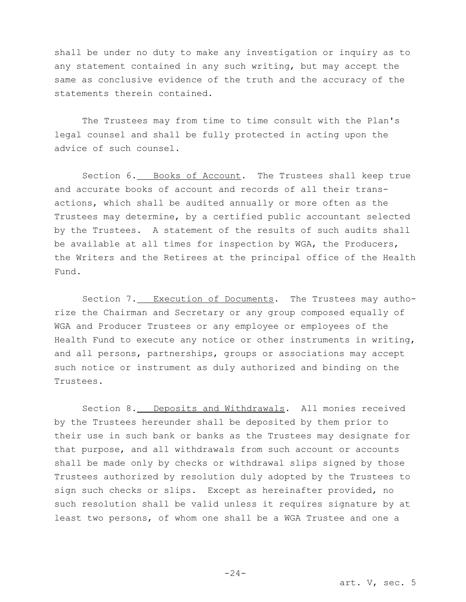shall be under no duty to make any investigation or inquiry as to any statement contained in any such writing, but may accept the same as conclusive evidence of the truth and the accuracy of the statements therein contained.

The Trustees may from time to time consult with the Plan's legal counsel and shall be fully protected in acting upon the advice of such counsel.

Section 6. Books of Account. The Trustees shall keep true and accurate books of account and records of all their transactions, which shall be audited annually or more often as the Trustees may determine, by a certified public accountant selected by the Trustees. A statement of the results of such audits shall be available at all times for inspection by WGA, the Producers, the Writers and the Retirees at the principal office of the Health Fund.

Section 7. Execution of Documents. The Trustees may authorize the Chairman and Secretary or any group composed equally of WGA and Producer Trustees or any employee or employees of the Health Fund to execute any notice or other instruments in writing, and all persons, partnerships, groups or associations may accept such notice or instrument as duly authorized and binding on the Trustees.

Section 8. Deposits and Withdrawals. All monies received by the Trustees hereunder shall be deposited by them prior to their use in such bank or banks as the Trustees may designate for that purpose, and all withdrawals from such account or accounts shall be made only by checks or withdrawal slips signed by those Trustees authorized by resolution duly adopted by the Trustees to sign such checks or slips. Except as hereinafter provided, no such resolution shall be valid unless it requires signature by at least two persons, of whom one shall be a WGA Trustee and one a

 $-24-$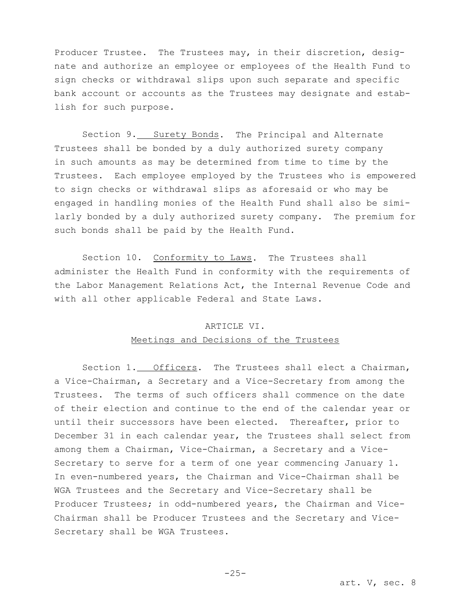Producer Trustee. The Trustees may, in their discretion, designate and authorize an employee or employees of the Health Fund to sign checks or withdrawal slips upon such separate and specific bank account or accounts as the Trustees may designate and establish for such purpose.

Section 9. Surety Bonds. The Principal and Alternate Trustees shall be bonded by a duly authorized surety company in such amounts as may be determined from time to time by the Trustees. Each employee employed by the Trustees who is empowered to sign checks or withdrawal slips as aforesaid or who may be engaged in handling monies of the Health Fund shall also be similarly bonded by a duly authorized surety company. The premium for such bonds shall be paid by the Health Fund.

Section 10. Conformity to Laws. The Trustees shall administer the Health Fund in conformity with the requirements of the Labor Management Relations Act, the Internal Revenue Code and with all other applicable Federal and State Laws.

# ARTICLE VI. Meetings and Decisions of the Trustees

Section 1. Officers. The Trustees shall elect a Chairman, a Vice-Chairman, a Secretary and a Vice-Secretary from among the Trustees. The terms of such officers shall commence on the date of their election and continue to the end of the calendar year or until their successors have been elected. Thereafter, prior to December 31 in each calendar year, the Trustees shall select from among them a Chairman, Vice-Chairman, a Secretary and a Vice-Secretary to serve for a term of one year commencing January 1. In even-numbered years, the Chairman and Vice-Chairman shall be WGA Trustees and the Secretary and Vice-Secretary shall be Producer Trustees; in odd-numbered years, the Chairman and Vice-Chairman shall be Producer Trustees and the Secretary and Vice-Secretary shall be WGA Trustees.

-25-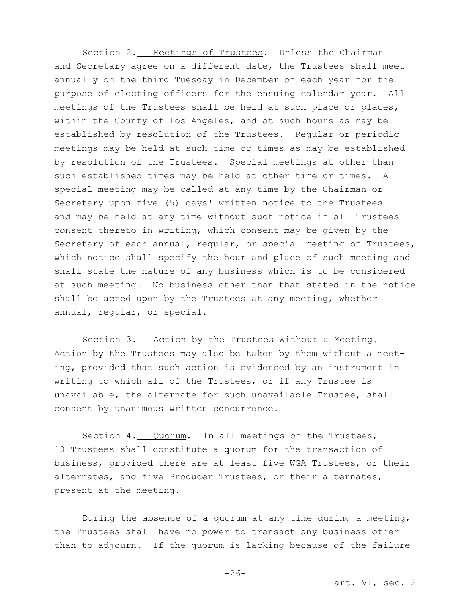Section 2. Meetings of Trustees. Unless the Chairman and Secretary agree on a different date, the Trustees shall meet annually on the third Tuesday in December of each year for the purpose of electing officers for the ensuing calendar year. All meetings of the Trustees shall be held at such place or places, within the County of Los Angeles, and at such hours as may be established by resolution of the Trustees. Regular or periodic meetings may be held at such time or times as may be established by resolution of the Trustees. Special meetings at other than such established times may be held at other time or times. A special meeting may be called at any time by the Chairman or Secretary upon five (5) days' written notice to the Trustees and may be held at any time without such notice if all Trustees consent thereto in writing, which consent may be given by the Secretary of each annual, regular, or special meeting of Trustees, which notice shall specify the hour and place of such meeting and shall state the nature of any business which is to be considered at such meeting. No business other than that stated in the notice shall be acted upon by the Trustees at any meeting, whether annual, regular, or special.

Section 3. Action by the Trustees Without a Meeting. Action by the Trustees may also be taken by them without a meeting, provided that such action is evidenced by an instrument in writing to which all of the Trustees, or if any Trustee is unavailable, the alternate for such unavailable Trustee, shall consent by unanimous written concurrence.

Section 4. Quorum. In all meetings of the Trustees, 10 Trustees shall constitute a quorum for the transaction of business, provided there are at least five WGA Trustees, or their alternates, and five Producer Trustees, or their alternates, present at the meeting.

During the absence of a quorum at any time during a meeting, the Trustees shall have no power to transact any business other than to adjourn. If the quorum is lacking because of the failure

art. VI, sec. 2

-26-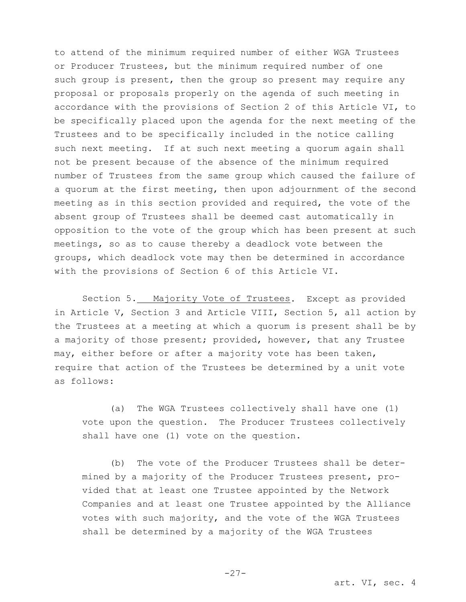to attend of the minimum required number of either WGA Trustees or Producer Trustees, but the minimum required number of one such group is present, then the group so present may require any proposal or proposals properly on the agenda of such meeting in accordance with the provisions of Section 2 of this Article VI, to be specifically placed upon the agenda for the next meeting of the Trustees and to be specifically included in the notice calling such next meeting. If at such next meeting a quorum again shall not be present because of the absence of the minimum required number of Trustees from the same group which caused the failure of a quorum at the first meeting, then upon adjournment of the second meeting as in this section provided and required, the vote of the absent group of Trustees shall be deemed cast automatically in opposition to the vote of the group which has been present at such meetings, so as to cause thereby a deadlock vote between the groups, which deadlock vote may then be determined in accordance with the provisions of Section 6 of this Article VI.

Section 5. Majority Vote of Trustees. Except as provided in Article V, Section 3 and Article VIII, Section 5, all action by the Trustees at a meeting at which a quorum is present shall be by a majority of those present; provided, however, that any Trustee may, either before or after a majority vote has been taken, require that action of the Trustees be determined by a unit vote as follows:

(a) The WGA Trustees collectively shall have one (1) vote upon the question. The Producer Trustees collectively shall have one (1) vote on the question.

(b) The vote of the Producer Trustees shall be determined by a majority of the Producer Trustees present, provided that at least one Trustee appointed by the Network Companies and at least one Trustee appointed by the Alliance votes with such majority, and the vote of the WGA Trustees shall be determined by a majority of the WGA Trustees

art. VI, sec. 4

-27-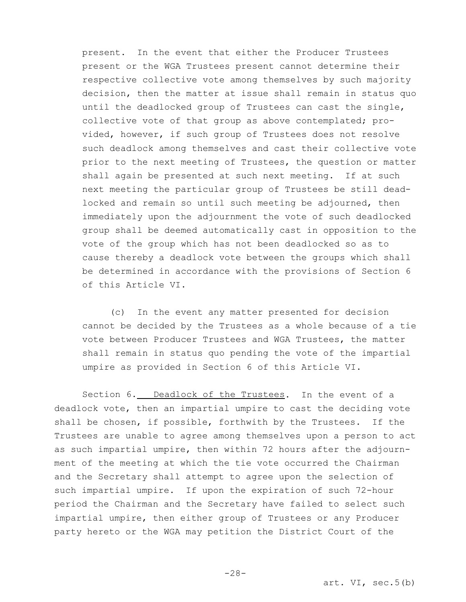present. In the event that either the Producer Trustees present or the WGA Trustees present cannot determine their respective collective vote among themselves by such majority decision, then the matter at issue shall remain in status quo until the deadlocked group of Trustees can cast the single, collective vote of that group as above contemplated; provided, however, if such group of Trustees does not resolve such deadlock among themselves and cast their collective vote prior to the next meeting of Trustees, the question or matter shall again be presented at such next meeting. If at such next meeting the particular group of Trustees be still deadlocked and remain so until such meeting be adjourned, then immediately upon the adjournment the vote of such deadlocked group shall be deemed automatically cast in opposition to the vote of the group which has not been deadlocked so as to cause thereby a deadlock vote between the groups which shall be determined in accordance with the provisions of Section 6 of this Article VI.

(c) In the event any matter presented for decision cannot be decided by the Trustees as a whole because of a tie vote between Producer Trustees and WGA Trustees, the matter shall remain in status quo pending the vote of the impartial umpire as provided in Section 6 of this Article VI.

Section 6. Deadlock of the Trustees. In the event of a deadlock vote, then an impartial umpire to cast the deciding vote shall be chosen, if possible, forthwith by the Trustees. If the Trustees are unable to agree among themselves upon a person to act as such impartial umpire, then within 72 hours after the adjournment of the meeting at which the tie vote occurred the Chairman and the Secretary shall attempt to agree upon the selection of such impartial umpire. If upon the expiration of such 72-hour period the Chairman and the Secretary have failed to select such impartial umpire, then either group of Trustees or any Producer party hereto or the WGA may petition the District Court of the

-28-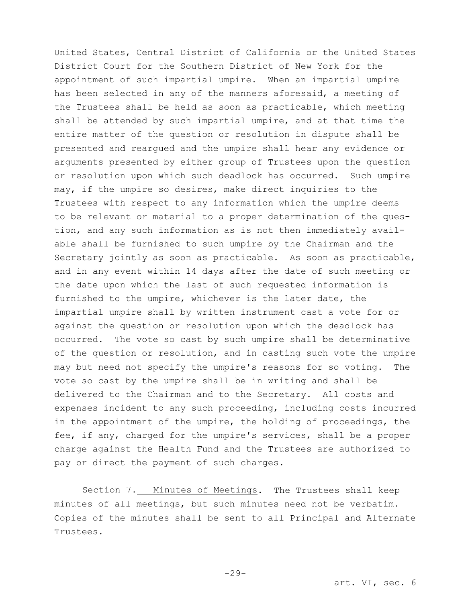United States, Central District of California or the United States District Court for the Southern District of New York for the appointment of such impartial umpire. When an impartial umpire has been selected in any of the manners aforesaid, a meeting of the Trustees shall be held as soon as practicable, which meeting shall be attended by such impartial umpire, and at that time the entire matter of the question or resolution in dispute shall be presented and reargued and the umpire shall hear any evidence or arguments presented by either group of Trustees upon the question or resolution upon which such deadlock has occurred. Such umpire may, if the umpire so desires, make direct inquiries to the Trustees with respect to any information which the umpire deems to be relevant or material to a proper determination of the question, and any such information as is not then immediately available shall be furnished to such umpire by the Chairman and the Secretary jointly as soon as practicable. As soon as practicable, and in any event within 14 days after the date of such meeting or the date upon which the last of such requested information is furnished to the umpire, whichever is the later date, the impartial umpire shall by written instrument cast a vote for or against the question or resolution upon which the deadlock has occurred. The vote so cast by such umpire shall be determinative of the question or resolution, and in casting such vote the umpire may but need not specify the umpire's reasons for so voting. The vote so cast by the umpire shall be in writing and shall be delivered to the Chairman and to the Secretary. All costs and expenses incident to any such proceeding, including costs incurred in the appointment of the umpire, the holding of proceedings, the fee, if any, charged for the umpire's services, shall be a proper charge against the Health Fund and the Trustees are authorized to pay or direct the payment of such charges.

Section 7. Minutes of Meetings. The Trustees shall keep minutes of all meetings, but such minutes need not be verbatim. Copies of the minutes shall be sent to all Principal and Alternate Trustees.

 $-29-$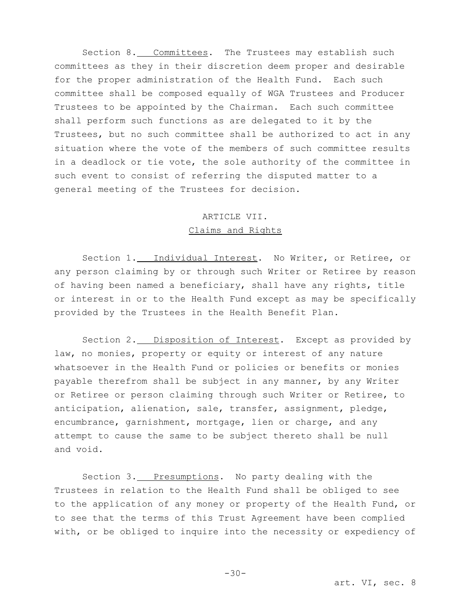Section 8. Committees. The Trustees may establish such committees as they in their discretion deem proper and desirable for the proper administration of the Health Fund. Each such committee shall be composed equally of WGA Trustees and Producer Trustees to be appointed by the Chairman. Each such committee shall perform such functions as are delegated to it by the Trustees, but no such committee shall be authorized to act in any situation where the vote of the members of such committee results in a deadlock or tie vote, the sole authority of the committee in such event to consist of referring the disputed matter to a general meeting of the Trustees for decision.

# ARTICLE VII. Claims and Rights

Section 1. Individual Interest. No Writer, or Retiree, or any person claiming by or through such Writer or Retiree by reason of having been named a beneficiary, shall have any rights, title or interest in or to the Health Fund except as may be specifically provided by the Trustees in the Health Benefit Plan.

Section 2. Disposition of Interest. Except as provided by law, no monies, property or equity or interest of any nature whatsoever in the Health Fund or policies or benefits or monies payable therefrom shall be subject in any manner, by any Writer or Retiree or person claiming through such Writer or Retiree, to anticipation, alienation, sale, transfer, assignment, pledge, encumbrance, garnishment, mortgage, lien or charge, and any attempt to cause the same to be subject thereto shall be null and void.

Section 3. Presumptions. No party dealing with the Trustees in relation to the Health Fund shall be obliged to see to the application of any money or property of the Health Fund, or to see that the terms of this Trust Agreement have been complied with, or be obliged to inquire into the necessity or expediency of

-30-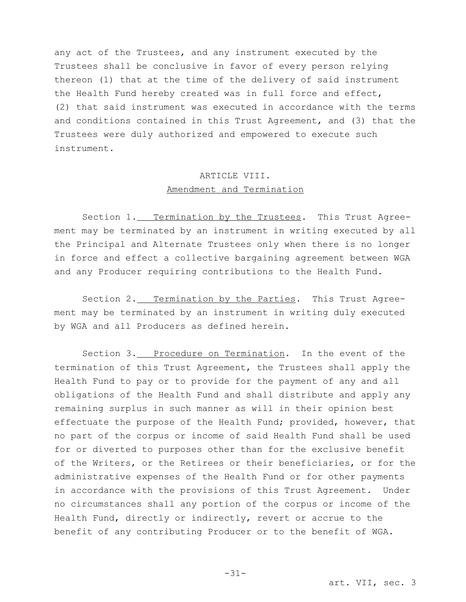any act of the Trustees, and any instrument executed by the Trustees shall be conclusive in favor of every person relying thereon (1) that at the time of the delivery of said instrument the Health Fund hereby created was in full force and effect, (2) that said instrument was executed in accordance with the terms and conditions contained in this Trust Agreement, and (3) that the Trustees were duly authorized and empowered to execute such instrument.

# ARTICLE VIII. Amendment and Termination

Section 1. Termination by the Trustees. This Trust Agreement may be terminated by an instrument in writing executed by all the Principal and Alternate Trustees only when there is no longer in force and effect a collective bargaining agreement between WGA and any Producer requiring contributions to the Health Fund.

Section 2. Termination by the Parties. This Trust Agreement may be terminated by an instrument in writing duly executed by WGA and all Producers as defined herein.

Section 3. Procedure on Termination. In the event of the termination of this Trust Agreement, the Trustees shall apply the Health Fund to pay or to provide for the payment of any and all obligations of the Health Fund and shall distribute and apply any remaining surplus in such manner as will in their opinion best effectuate the purpose of the Health Fund; provided, however, that no part of the corpus or income of said Health Fund shall be used for or diverted to purposes other than for the exclusive benefit of the Writers, or the Retirees or their beneficiaries, or for the administrative expenses of the Health Fund or for other payments in accordance with the provisions of this Trust Agreement. Under no circumstances shall any portion of the corpus or income of the Health Fund, directly or indirectly, revert or accrue to the benefit of any contributing Producer or to the benefit of WGA.

-31-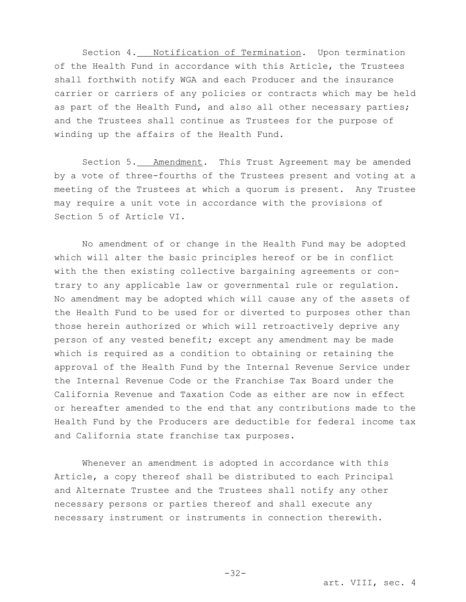Section 4. Notification of Termination. Upon termination of the Health Fund in accordance with this Article, the Trustees shall forthwith notify WGA and each Producer and the insurance carrier or carriers of any policies or contracts which may be held as part of the Health Fund, and also all other necessary parties; and the Trustees shall continue as Trustees for the purpose of winding up the affairs of the Health Fund.

Section 5. Amendment. This Trust Agreement may be amended by a vote of three-fourths of the Trustees present and voting at a meeting of the Trustees at which a quorum is present. Any Trustee may require a unit vote in accordance with the provisions of Section 5 of Article VI.

No amendment of or change in the Health Fund may be adopted which will alter the basic principles hereof or be in conflict with the then existing collective bargaining agreements or contrary to any applicable law or governmental rule or regulation. No amendment may be adopted which will cause any of the assets of the Health Fund to be used for or diverted to purposes other than those herein authorized or which will retroactively deprive any person of any vested benefit; except any amendment may be made which is required as a condition to obtaining or retaining the approval of the Health Fund by the Internal Revenue Service under the Internal Revenue Code or the Franchise Tax Board under the California Revenue and Taxation Code as either are now in effect or hereafter amended to the end that any contributions made to the Health Fund by the Producers are deductible for federal income tax and California state franchise tax purposes.

Whenever an amendment is adopted in accordance with this Article, a copy thereof shall be distributed to each Principal and Alternate Trustee and the Trustees shall notify any other necessary persons or parties thereof and shall execute any necessary instrument or instruments in connection therewith.

-32-